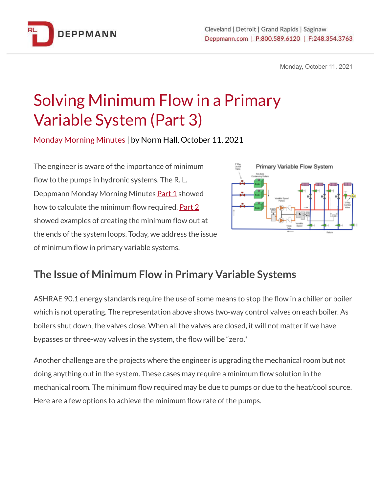

Monday, October 11, 2021

# Solving Minimum Flow in a Primary Variable System (Part 3)

Monday Morning Minutes | by Norm Hall, October 11, 2021

The engineer is aware of the importance of minimum flow to the pumps in hydronic systems. The R. L. Deppmann Monday Morning Minutes [Part](https://bit.ly/3m9kM04) 1 showed how to calculate the minimum flow required. [Part](https://bit.ly/3lm6KJG) 2 showed examples of creating the minimum flow out at the ends of the system loops. Today, we address the issue of minimum flow in primary variable systems.



# **The Issue of Minimum Flow in Primary Variable Systems**

ASHRAE 90.1 energy standards require the use of some means to stop the flow in a chiller or boiler which is not operating. The representation above shows two-way control valves on each boiler. As boilers shut down, the valves close. When all the valves are closed, it will not matter if we have bypasses or three-way valves in the system, the flow will be "zero."

Another challenge are the projects where the engineer is upgrading the mechanical room but not doing anything out in the system. These cases may require a minimum flow solution in the mechanical room. The minimum flow required may be due to pumps or due to the heat/cool source. Here are a few options to achieve the minimum flow rate of the pumps.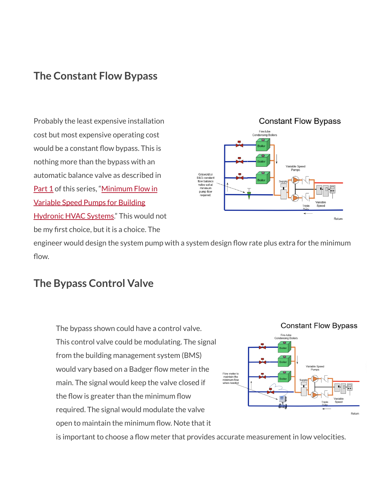## **The Constant Flow Bypass**

Probably the least expensive installation cost but most expensive operating cost would be a constant flow bypass. This is nothing more than the bypass with an automatic balance valve as described i[n](https://bit.ly/3m9kM04) [Part](https://bit.ly/3m9kM04) 1 of this series, "[Minimum](https://bit.ly/3lm6KJG) Flow in [Variable](https://bit.ly/3lm6KJG) Speed Pumps for Building [Hydronic](https://bit.ly/3lm6KJG) HVAC Systems." This would not be my first choice, but it is a choice. The

#### **Constant Flow Bypass** Fire-tube<br>lensing Boil ariable Speed<br>Pumps Griswold or<br>B&G constant<br>flow balance valve set at minimum pump flow required Return

engineer would design the system pump with a system design flow rate plus extra for the minimum flow.

#### **The Bypass Control Valve**

The bypass shown could have a control valve. This control valve could be modulating. The signal from the building management system (BMS) would vary based on a Badger flow meter in the main. The signal would keep the valve closed if the flow is greater than the minimum flow required. The signal would modulate the valve open to maintain the minimum flow. Note that it



is important to choose a flow meter that provides accurate measurement in low velocities.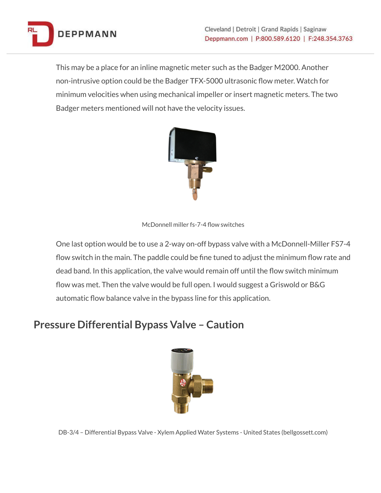

This may be a place for an inline magnetic meter such as the Badger M2000. Another non-intrusive option could be the Badger TFX-5000 ultrasonic flow meter. Watch for minimum velocities when using mechanical impeller or insert magnetic meters. The two Badger meters mentioned will not have the velocity issues.



McDonnell miller fs-7-4 flow switches

One last option would be to use a 2-way on-off bypass valve with a McDonnell-Miller FS7-4 flow switch in the main. The paddle could be fine tuned to adjust the minimum flow rate and dead band. In this application, the valve would remain off until the flow switch minimum flow was met. Then the valve would be full open. I would suggest a Griswold or B&G automatic flow balance valve in the bypass line for this application.

## **Pressure Differential Bypass Valve – Caution**



DB-3/4 – Differential Bypass Valve - Xylem Applied Water Systems - United States (bellgossett.com)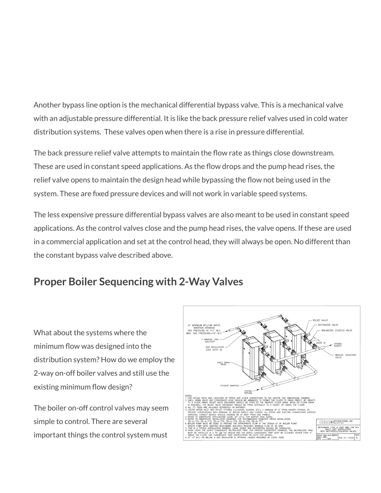Another bypass line option is the mechanical differential bypass valve. This is a mechanical valve with an adjustable pressure differential. It is like the back pressure relief valves used in cold water distribution systems. These valves open when there is a rise in pressure differential.

The back pressure relief valve attempts to maintain the flow rate as things close downstream. These are used in constant speed applications. As the flow drops and the pump head rises, the relief valve opens to maintain the design head while bypassing the flow not being used in the system. These are fixed pressure devices and will not work in variable speed systems.

The less expensive pressure differential bypass valves are also meant to be used in constant speed applications. As the control valves close and the pump head rises, the valve opens. If these are used in a commercial application and set at the control head, they will always be open. No different than the constant bypass valve described above.

# **Proper Boiler Sequencing with 2-Way Valves**

What about the systems where the minimum flow was designed into the distribution system? How do we employ the 2-way on-off boiler valves and still use the existing minimum flow design?

The boiler on-off control valves may seem simple to control. There are several important things the control system must